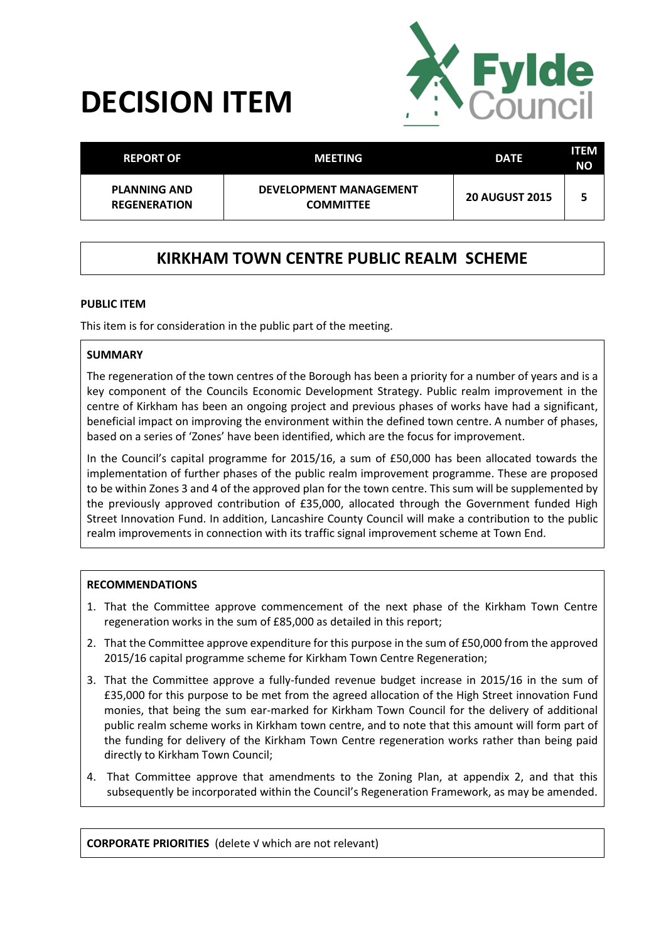# **DECISION ITEM**



| <b>REPORT OF</b>                           | <b>MEETING</b>                                    | <b>DATE</b>           | ITEM<br>NΟ |
|--------------------------------------------|---------------------------------------------------|-----------------------|------------|
| <b>PLANNING AND</b><br><b>REGENERATION</b> | <b>DEVELOPMENT MANAGEMENT</b><br><b>COMMITTEE</b> | <b>20 AUGUST 2015</b> |            |

# **KIRKHAM TOWN CENTRE PUBLIC REALM SCHEME**

#### **PUBLIC ITEM**

This item is for consideration in the public part of the meeting.

#### **SUMMARY**

The regeneration of the town centres of the Borough has been a priority for a number of years and is a key component of the Councils Economic Development Strategy. Public realm improvement in the centre of Kirkham has been an ongoing project and previous phases of works have had a significant, beneficial impact on improving the environment within the defined town centre. A number of phases, based on a series of 'Zones' have been identified, which are the focus for improvement.

In the Council's capital programme for 2015/16, a sum of £50,000 has been allocated towards the implementation of further phases of the public realm improvement programme. These are proposed to be within Zones 3 and 4 of the approved plan for the town centre. This sum will be supplemented by the previously approved contribution of £35,000, allocated through the Government funded High Street Innovation Fund. In addition, Lancashire County Council will make a contribution to the public realm improvements in connection with its traffic signal improvement scheme at Town End.

#### **RECOMMENDATIONS**

- 1. That the Committee approve commencement of the next phase of the Kirkham Town Centre regeneration works in the sum of £85,000 as detailed in this report;
- 2. That the Committee approve expenditure for this purpose in the sum of £50,000 from the approved 2015/16 capital programme scheme for Kirkham Town Centre Regeneration;
- 3. That the Committee approve a fully-funded revenue budget increase in 2015/16 in the sum of £35,000 for this purpose to be met from the agreed allocation of the High Street innovation Fund monies, that being the sum ear-marked for Kirkham Town Council for the delivery of additional public realm scheme works in Kirkham town centre, and to note that this amount will form part of the funding for delivery of the Kirkham Town Centre regeneration works rather than being paid directly to Kirkham Town Council;
- 4. That Committee approve that amendments to the Zoning Plan, at appendix 2, and that this subsequently be incorporated within the Council's Regeneration Framework, as may be amended.

**CORPORATE PRIORITIES** (delete √ which are not relevant)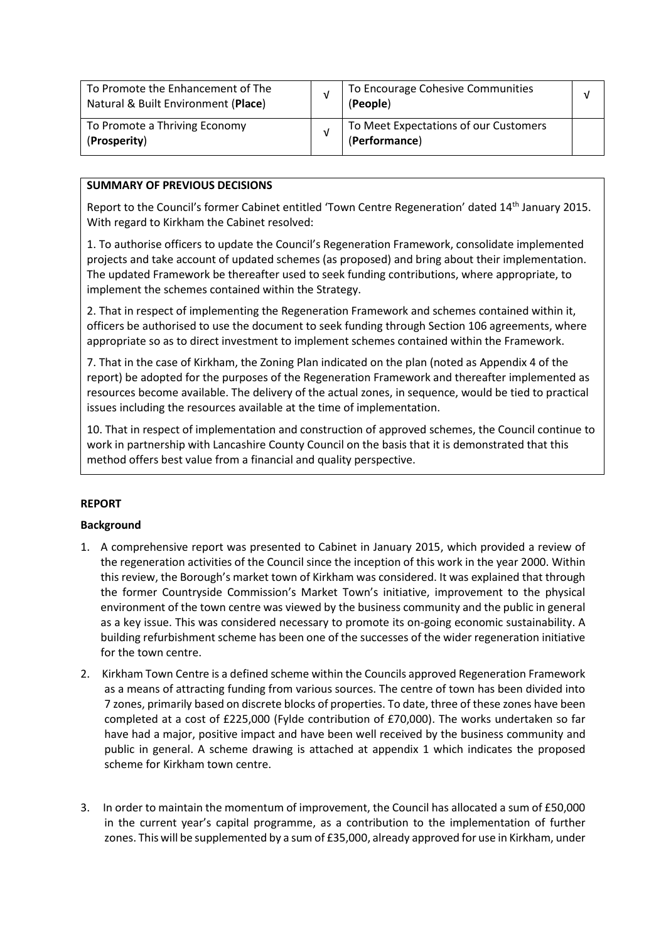| To Promote the Enhancement of The<br>Natural & Built Environment (Place) |  | To Encourage Cohesive Communities<br>(People)          | v |
|--------------------------------------------------------------------------|--|--------------------------------------------------------|---|
| To Promote a Thriving Economy<br>(Prosperity)                            |  | To Meet Expectations of our Customers<br>(Performance) |   |

### **SUMMARY OF PREVIOUS DECISIONS**

Report to the Council's former Cabinet entitled 'Town Centre Regeneration' dated 14th January 2015. With regard to Kirkham the Cabinet resolved:

1. To authorise officers to update the Council's Regeneration Framework, consolidate implemented projects and take account of updated schemes (as proposed) and bring about their implementation. The updated Framework be thereafter used to seek funding contributions, where appropriate, to implement the schemes contained within the Strategy.

2. That in respect of implementing the Regeneration Framework and schemes contained within it, officers be authorised to use the document to seek funding through Section 106 agreements, where appropriate so as to direct investment to implement schemes contained within the Framework.

7. That in the case of Kirkham, the Zoning Plan indicated on the plan (noted as Appendix 4 of the report) be adopted for the purposes of the Regeneration Framework and thereafter implemented as resources become available. The delivery of the actual zones, in sequence, would be tied to practical issues including the resources available at the time of implementation.

10. That in respect of implementation and construction of approved schemes, the Council continue to work in partnership with Lancashire County Council on the basis that it is demonstrated that this method offers best value from a financial and quality perspective.

#### **REPORT**

#### **Background**

- 1. A comprehensive report was presented to Cabinet in January 2015, which provided a review of the regeneration activities of the Council since the inception of this work in the year 2000. Within this review, the Borough's market town of Kirkham was considered. It was explained that through the former Countryside Commission's Market Town's initiative, improvement to the physical environment of the town centre was viewed by the business community and the public in general as a key issue. This was considered necessary to promote its on-going economic sustainability. A building refurbishment scheme has been one of the successes of the wider regeneration initiative for the town centre.
- 2. Kirkham Town Centre is a defined scheme within the Councils approved Regeneration Framework as a means of attracting funding from various sources. The centre of town has been divided into 7 zones, primarily based on discrete blocks of properties. To date, three of these zones have been completed at a cost of £225,000 (Fylde contribution of £70,000). The works undertaken so far have had a major, positive impact and have been well received by the business community and public in general. A scheme drawing is attached at appendix 1 which indicates the proposed scheme for Kirkham town centre.
- 3. In order to maintain the momentum of improvement, the Council has allocated a sum of £50,000 in the current year's capital programme, as a contribution to the implementation of further zones. This will be supplemented by a sum of £35,000, already approved for use in Kirkham, under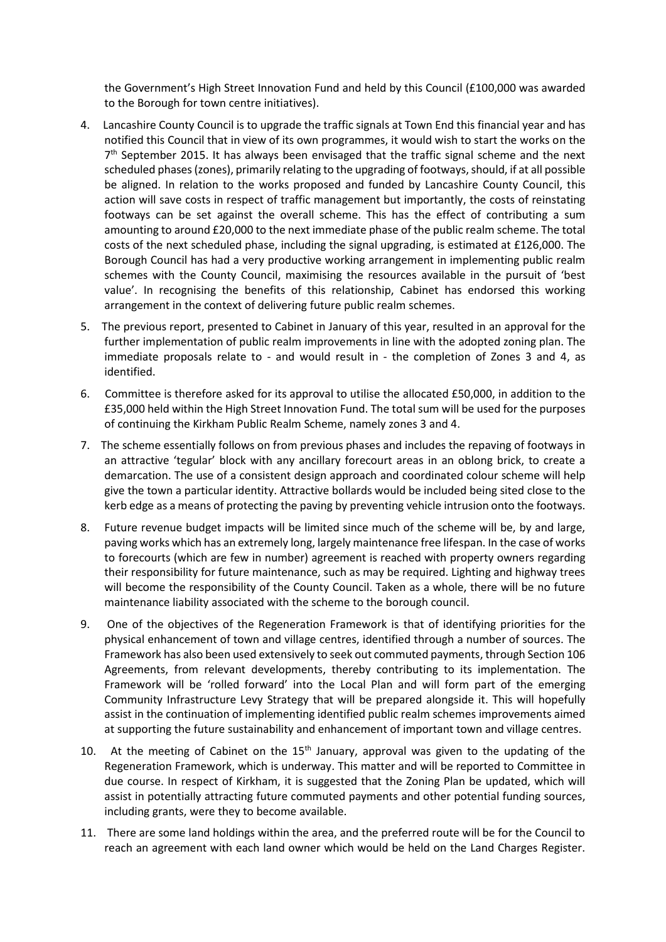the Government's High Street Innovation Fund and held by this Council (£100,000 was awarded to the Borough for town centre initiatives).

- 4. Lancashire County Council is to upgrade the traffic signals at Town End this financial year and has notified this Council that in view of its own programmes, it would wish to start the works on the 7<sup>th</sup> September 2015. It has always been envisaged that the traffic signal scheme and the next scheduled phases (zones), primarily relating to the upgrading of footways, should, if at all possible be aligned. In relation to the works proposed and funded by Lancashire County Council, this action will save costs in respect of traffic management but importantly, the costs of reinstating footways can be set against the overall scheme. This has the effect of contributing a sum amounting to around £20,000 to the next immediate phase of the public realm scheme. The total costs of the next scheduled phase, including the signal upgrading, is estimated at £126,000. The Borough Council has had a very productive working arrangement in implementing public realm schemes with the County Council, maximising the resources available in the pursuit of 'best value'. In recognising the benefits of this relationship, Cabinet has endorsed this working arrangement in the context of delivering future public realm schemes.
- 5. The previous report, presented to Cabinet in January of this year, resulted in an approval for the further implementation of public realm improvements in line with the adopted zoning plan. The immediate proposals relate to - and would result in - the completion of Zones 3 and 4, as identified.
- 6. Committee is therefore asked for its approval to utilise the allocated £50,000, in addition to the £35,000 held within the High Street Innovation Fund. The total sum will be used for the purposes of continuing the Kirkham Public Realm Scheme, namely zones 3 and 4.
- 7. The scheme essentially follows on from previous phases and includes the repaving of footways in an attractive 'tegular' block with any ancillary forecourt areas in an oblong brick, to create a demarcation. The use of a consistent design approach and coordinated colour scheme will help give the town a particular identity. Attractive bollards would be included being sited close to the kerb edge as a means of protecting the paving by preventing vehicle intrusion onto the footways.
- 8. Future revenue budget impacts will be limited since much of the scheme will be, by and large, paving works which has an extremely long, largely maintenance free lifespan. In the case of works to forecourts (which are few in number) agreement is reached with property owners regarding their responsibility for future maintenance, such as may be required. Lighting and highway trees will become the responsibility of the County Council. Taken as a whole, there will be no future maintenance liability associated with the scheme to the borough council.
- 9. One of the objectives of the Regeneration Framework is that of identifying priorities for the physical enhancement of town and village centres, identified through a number of sources. The Framework has also been used extensively to seek out commuted payments, through Section 106 Agreements, from relevant developments, thereby contributing to its implementation. The Framework will be 'rolled forward' into the Local Plan and will form part of the emerging Community Infrastructure Levy Strategy that will be prepared alongside it. This will hopefully assist in the continuation of implementing identified public realm schemes improvements aimed at supporting the future sustainability and enhancement of important town and village centres.
- 10. At the meeting of Cabinet on the  $15<sup>th</sup>$  January, approval was given to the updating of the Regeneration Framework, which is underway. This matter and will be reported to Committee in due course. In respect of Kirkham, it is suggested that the Zoning Plan be updated, which will assist in potentially attracting future commuted payments and other potential funding sources, including grants, were they to become available.
- 11. There are some land holdings within the area, and the preferred route will be for the Council to reach an agreement with each land owner which would be held on the Land Charges Register.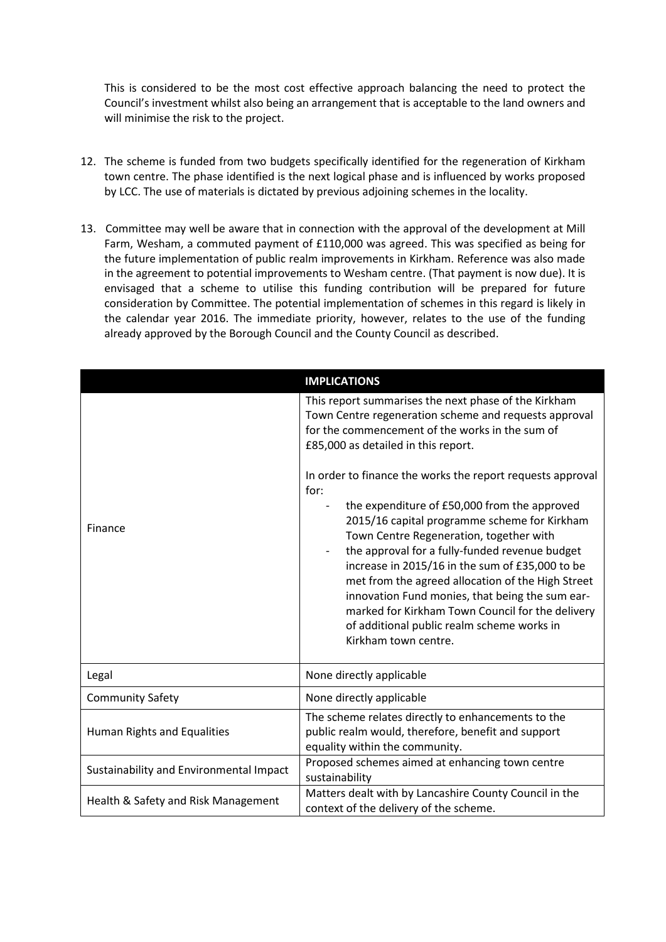This is considered to be the most cost effective approach balancing the need to protect the Council's investment whilst also being an arrangement that is acceptable to the land owners and will minimise the risk to the project.

- 12. The scheme is funded from two budgets specifically identified for the regeneration of Kirkham town centre. The phase identified is the next logical phase and is influenced by works proposed by LCC. The use of materials is dictated by previous adjoining schemes in the locality.
- 13. Committee may well be aware that in connection with the approval of the development at Mill Farm, Wesham, a commuted payment of £110,000 was agreed. This was specified as being for the future implementation of public realm improvements in Kirkham. Reference was also made in the agreement to potential improvements to Wesham centre. (That payment is now due). It is envisaged that a scheme to utilise this funding contribution will be prepared for future consideration by Committee. The potential implementation of schemes in this regard is likely in the calendar year 2016. The immediate priority, however, relates to the use of the funding already approved by the Borough Council and the County Council as described.

|                                         | <b>IMPLICATIONS</b>                                                                                                                                                                                                                                                                                                                                                                                                                                                                                                                                                                                                                                                                                                                                             |
|-----------------------------------------|-----------------------------------------------------------------------------------------------------------------------------------------------------------------------------------------------------------------------------------------------------------------------------------------------------------------------------------------------------------------------------------------------------------------------------------------------------------------------------------------------------------------------------------------------------------------------------------------------------------------------------------------------------------------------------------------------------------------------------------------------------------------|
| Finance                                 | This report summarises the next phase of the Kirkham<br>Town Centre regeneration scheme and requests approval<br>for the commencement of the works in the sum of<br>£85,000 as detailed in this report.<br>In order to finance the works the report requests approval<br>for:<br>the expenditure of £50,000 from the approved<br>2015/16 capital programme scheme for Kirkham<br>Town Centre Regeneration, together with<br>the approval for a fully-funded revenue budget<br>increase in 2015/16 in the sum of £35,000 to be<br>met from the agreed allocation of the High Street<br>innovation Fund monies, that being the sum ear-<br>marked for Kirkham Town Council for the delivery<br>of additional public realm scheme works in<br>Kirkham town centre. |
| Legal                                   | None directly applicable                                                                                                                                                                                                                                                                                                                                                                                                                                                                                                                                                                                                                                                                                                                                        |
| <b>Community Safety</b>                 | None directly applicable                                                                                                                                                                                                                                                                                                                                                                                                                                                                                                                                                                                                                                                                                                                                        |
| Human Rights and Equalities             | The scheme relates directly to enhancements to the<br>public realm would, therefore, benefit and support<br>equality within the community.                                                                                                                                                                                                                                                                                                                                                                                                                                                                                                                                                                                                                      |
| Sustainability and Environmental Impact | Proposed schemes aimed at enhancing town centre<br>sustainability                                                                                                                                                                                                                                                                                                                                                                                                                                                                                                                                                                                                                                                                                               |
| Health & Safety and Risk Management     | Matters dealt with by Lancashire County Council in the<br>context of the delivery of the scheme.                                                                                                                                                                                                                                                                                                                                                                                                                                                                                                                                                                                                                                                                |